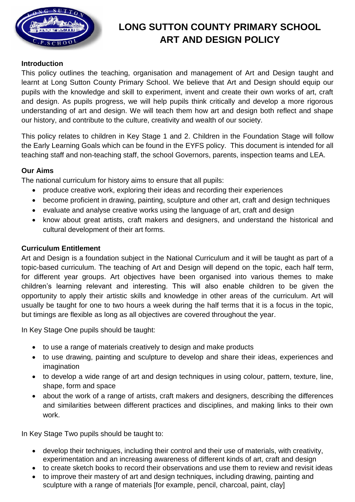

# **LONG SUTTON COUNTY PRIMARY SCHOOL ART AND DESIGN POLICY**

# **Introduction**

This policy outlines the teaching, organisation and management of Art and Design taught and learnt at Long Sutton County Primary School. We believe that Art and Design should equip our pupils with the knowledge and skill to experiment, invent and create their own works of art, craft and design. As pupils progress, we will help pupils think critically and develop a more rigorous understanding of art and design. We will teach them how art and design both reflect and shape our history, and contribute to the culture, creativity and wealth of our society.

This policy relates to children in Key Stage 1 and 2. Children in the Foundation Stage will follow the Early Learning Goals which can be found in the EYFS policy. This document is intended for all teaching staff and non-teaching staff, the school Governors, parents, inspection teams and LEA.

# **Our Aims**

The national curriculum for history aims to ensure that all pupils:

- produce creative work, exploring their ideas and recording their experiences
- become proficient in drawing, painting, sculpture and other art, craft and design techniques
- evaluate and analyse creative works using the language of art, craft and design
- know about great artists, craft makers and designers, and understand the historical and cultural development of their art forms.

# **Curriculum Entitlement**

Art and Design is a foundation subject in the National Curriculum and it will be taught as part of a topic-based curriculum. The teaching of Art and Design will depend on the topic, each half term, for different year groups. Art objectives have been organised into various themes to make children's learning relevant and interesting. This will also enable children to be given the opportunity to apply their artistic skills and knowledge in other areas of the curriculum. Art will usually be taught for one to two hours a week during the half terms that it is a focus in the topic, but timings are flexible as long as all objectives are covered throughout the year.

In Key Stage One pupils should be taught:

- to use a range of materials creatively to design and make products
- to use drawing, painting and sculpture to develop and share their ideas, experiences and imagination
- to develop a wide range of art and design techniques in using colour, pattern, texture, line, shape, form and space
- about the work of a range of artists, craft makers and designers, describing the differences and similarities between different practices and disciplines, and making links to their own work.

In Key Stage Two pupils should be taught to:

- develop their techniques, including their control and their use of materials, with creativity, experimentation and an increasing awareness of different kinds of art, craft and design
- to create sketch books to record their observations and use them to review and revisit ideas
- to improve their mastery of art and design techniques, including drawing, painting and sculpture with a range of materials [for example, pencil, charcoal, paint, clay]